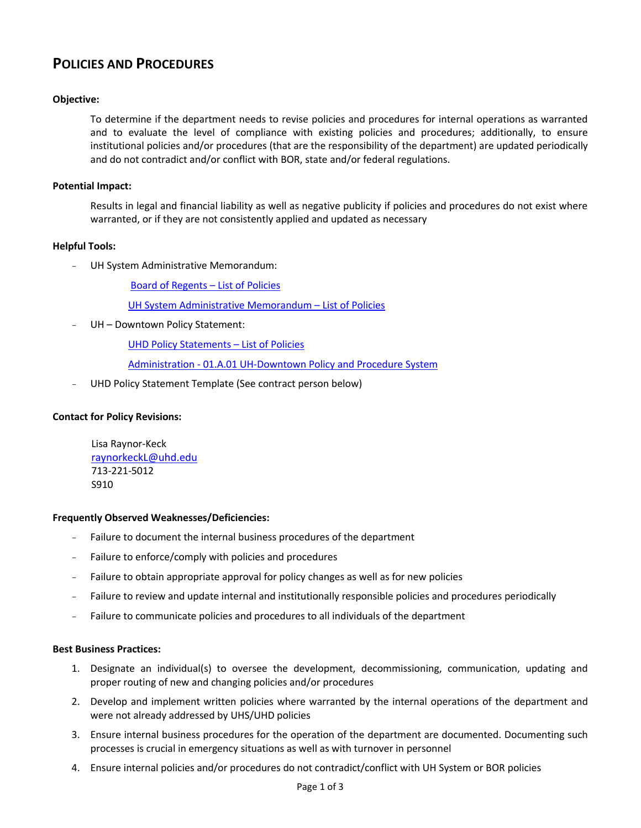# **POLICIES AND PROCEDURES**

## **Objective:**

To determine if the department needs to revise policies and procedures for internal operations as warranted and to evaluate the level of compliance with existing policies and procedures; additionally, to ensure institutional policies and/or procedures (that are the responsibility of the department) are updated periodically and do not contradict and/or conflict with BOR, state and/or federal regulations.

## **Potential Impact:**

Results in legal and financial liability as well as negative publicity if policies and procedures do not exist where warranted, or if they are not consistently applied and updated as necessary

### **Helpful Tools:**

- UH System Administrative Memorandum:

Board of Regents – [List of Policies](http://www.uhsystem.edu/board-of-regents/policies/index.php) 

[UH System Administrative Memorandum](http://www.uhsa.uh.edu/sam/) – List of Policies

UH - Downtown Policy Statement:

[UHD Policy Statements](http://www.uhd.edu/about/hr/uhd_policy_statements.html) – List of Policies

Administration - [01.A.01 UH-Downtown Policy and Procedure System](http://www.uhd.edu/about/hr/PS01A01.pdf)

UHD Policy Statement Template (See contract person below)

### **Contact for Policy Revisions:**

Lisa Raynor-Keck [raynorkeckL@uhd.edu](mailto:raynorkeckL@uhd.edu) 713-221-5012 S910

#### **Frequently Observed Weaknesses/Deficiencies:**

- Failure to document the internal business procedures of the department
- Failure to enforce/comply with policies and procedures
- Failure to obtain appropriate approval for policy changes as well as for new policies
- Failure to review and update internal and institutionally responsible policies and procedures periodically
- Failure to communicate policies and procedures to all individuals of the department

#### **Best Business Practices:**

- 1. Designate an individual(s) to oversee the development, decommissioning, communication, updating and proper routing of new and changing policies and/or procedures
- 2. Develop and implement written policies where warranted by the internal operations of the department and were not already addressed by UHS/UHD policies
- 3. Ensure internal business procedures for the operation of the department are documented. Documenting such processes is crucial in emergency situations as well as with turnover in personnel
- 4. Ensure internal policies and/or procedures do not contradict/conflict with UH System or BOR policies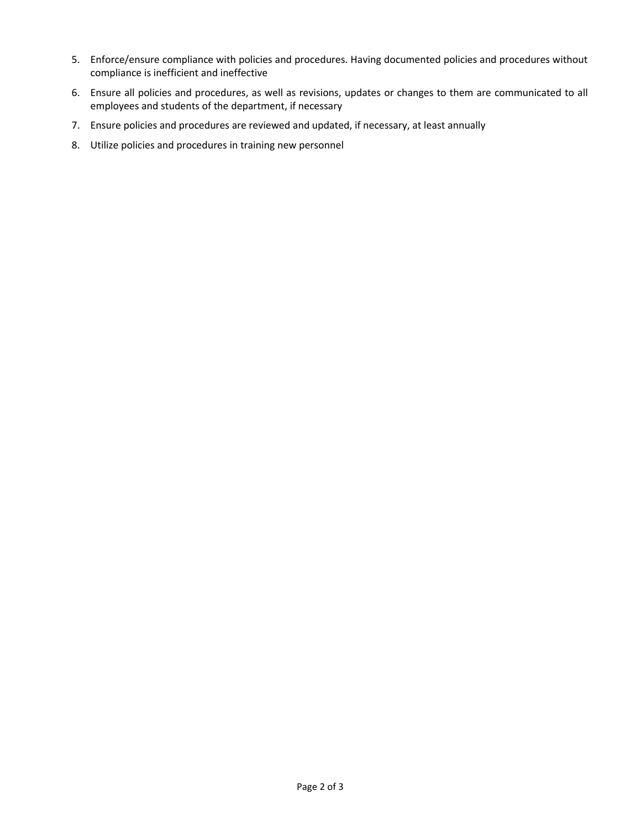- 5. Enforce/ensure compliance with policies and procedures. Having documented policies and procedures without compliance is inefficient and ineffective
- 6. Ensure all policies and procedures, as well as revisions, updates or changes to them are communicated to all employees and students of the department, if necessary
- 7. Ensure policies and procedures are reviewed and updated, if necessary, at least annually
- 8. Utilize policies and procedures in training new personnel